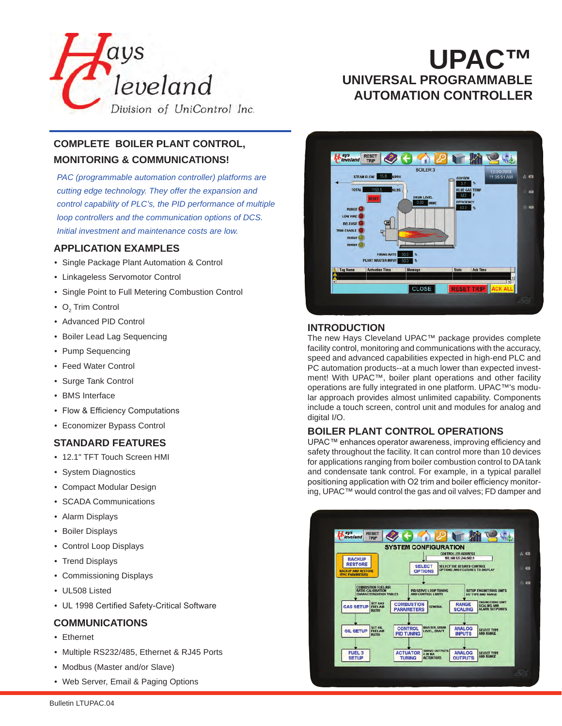

# **UPAC™ UNIVERSAL PROGRAMMABLE AUTOMATION CONTROLLER**

# **COMPLETE BOILER PLANT CONTROL, MONITORING & COMMUNICATIONS!**

*PAC (programmable automation controller) platforms are cutting edge technology. They offer the expansion and control capability of PLC's, the PID performance of multiple loop controllers and the communication options of DCS. Initial investment and maintenance costs are low.*

## **APPLICATION EXAMPLES**

- Single Package Plant Automation & Control
- Linkageless Servomotor Control
- Single Point to Full Metering Combustion Control
- $\mathrm{O}_2$  Trim Control
- Advanced PID Control
- Boiler Lead Lag Sequencing
- Pump Sequencing
- Feed Water Control
- Surge Tank Control
- BMS Interface
- Flow & Efficiency Computations
- Economizer Bypass Control

## **STANDARD FEATURES**

- 12.1" TFT Touch Screen HMI
- System Diagnostics
- Compact Modular Design
- SCADA Communications
- Alarm Displays
- Boiler Displays
- Control Loop Displays
- Trend Displays
- Commissioning Displays
- UL508 Listed
- UL 1998 Certified Safety-Critical Software

#### **COMMUNICATIONS**

- Ethernet
- Multiple RS232/485, Ethernet & RJ45 Ports
- Modbus (Master and/or Slave)
- Web Server, Email & Paging Options



#### **INTRODUCTION**

The new Hays Cleveland UPAC™ package provides complete facility control, monitoring and communications with the accuracy, speed and advanced capabilities expected in high-end PLC and PC automation products--at a much lower than expected investment! With UPAC™, boiler plant operations and other facility operations are fully integrated in one platform. UPAC™'s modular approach provides almost unlimited capability. Components include a touch screen, control unit and modules for analog and digital I/O.

#### **BOILER PLANT CONTROL OPERATIONS**

UPAC™ enhances operator awareness, improving efficiency and safety throughout the facility. It can control more than 10 devices for applications ranging from boiler combustion control to DA tank and condensate tank control. For example, in a typical parallel positioning application with O2 trim and boiler efficiency monitoring, UPAC™ would control the gas and oil valves; FD damper and